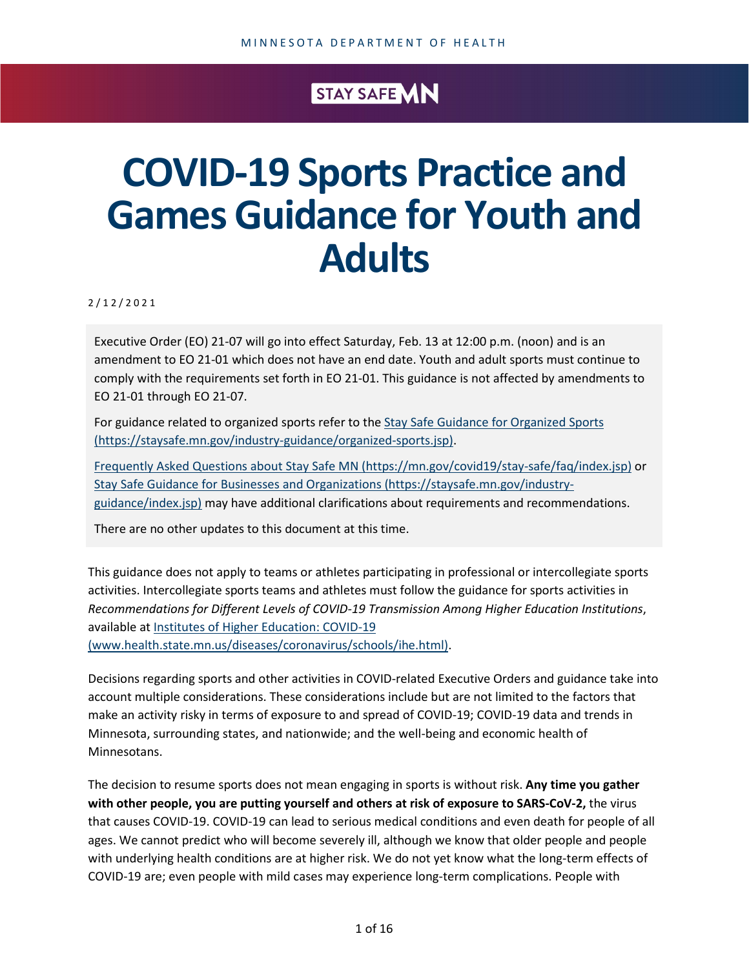## STAY SAFE MN

## **COVID-19 Sports Practice and Games Guidance for Youth and Adults**

2 / 1 2 /2021

Executive Order (EO) 21-07 will go into effect Saturday, Feb. 13 at 12:00 p.m. (noon) and is an amendment to EO 21-01 which does not have an end date. Youth and adult sports must continue to comply with the requirements set forth in EO 21-01. This guidance is not affected by amendments to EO 21-01 through EO 21-07.

For guidance related to organized sports refer to the Stay Safe Guidance for Organized Sports [\(https://staysafe.mn.gov/industry-guidance/organized-sports.jsp\).](https://staysafe.mn.gov/industry-guidance/organized-sports.jsp)

[Frequently Asked Questions about Stay Safe MN \(https://mn.gov/covid19/stay-safe/faq/index.jsp\)](https://mn.gov/covid19/stay-safe/faq/index.jsp) or [Stay Safe Guidance for Businesses and Organizations \(https://staysafe.mn.gov/industry](https://staysafe.mn.gov/industry-guidance/index.jsp)[guidance/index.jsp\)](https://staysafe.mn.gov/industry-guidance/index.jsp) may have additional clarifications about requirements and recommendations.

There are no other updates to this document at this time.

This guidance does not apply to teams or athletes participating in professional or intercollegiate sports activities. Intercollegiate sports teams and athletes must follow the guidance for sports activities in *Recommendations for Different Levels of COVID-19 Transmission Among Higher Education Institutions*, available a[t Institutes of Higher Education: COVID-19](https://www.health.state.mn.us/diseases/coronavirus/schools/ihe.html)  [\(www.health.state.mn.us/diseases/coronavirus/schools/ihe.html\).](https://www.health.state.mn.us/diseases/coronavirus/schools/ihe.html)

Decisions regarding sports and other activities in COVID-related Executive Orders and guidance take into account multiple considerations. These considerations include but are not limited to the factors that make an activity risky in terms of exposure to and spread of COVID-19; COVID-19 data and trends in Minnesota, surrounding states, and nationwide; and the well-being and economic health of Minnesotans.

The decision to resume sports does not mean engaging in sports is without risk. **Any time you gather with other people, you are putting yourself and others at risk of exposure to SARS-CoV-2,** the virus that causes COVID-19. COVID-19 can lead to serious medical conditions and even death for people of all ages. We cannot predict who will become severely ill, although we know that older people and people with underlying health conditions are at higher risk. We do not yet know what the long-term effects of COVID-19 are; even people with mild cases may experience long-term complications. People with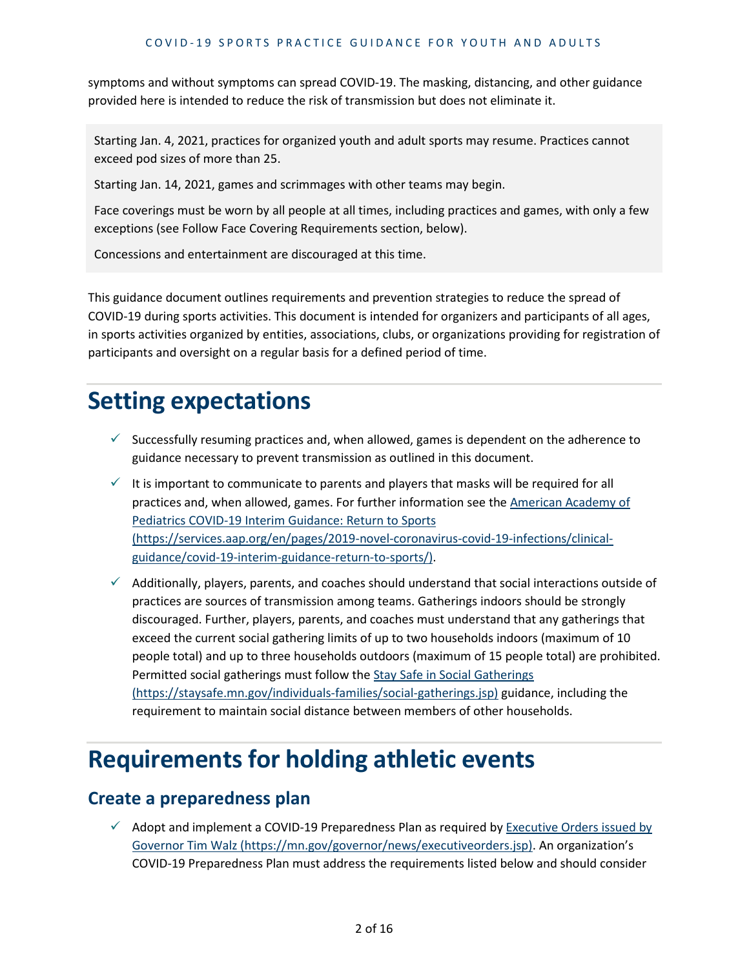symptoms and without symptoms can spread COVID-19. The masking, distancing, and other guidance provided here is intended to reduce the risk of transmission but does not eliminate it.

Starting Jan. 4, 2021, practices for organized youth and adult sports may resume. Practices cannot exceed pod sizes of more than 25.

Starting Jan. 14, 2021, games and scrimmages with other teams may begin.

Face coverings must be worn by all people at all times, including practices and games, with only a few exceptions (see Follow Face Covering Requirements section, below).

Concessions and entertainment are discouraged at this time.

This guidance document outlines requirements and prevention strategies to reduce the spread of COVID-19 during sports activities. This document is intended for organizers and participants of all ages, in sports activities organized by entities, associations, clubs, or organizations providing for registration of participants and oversight on a regular basis for a defined period of time.

## **Setting expectations**

- $\checkmark$  Successfully resuming practices and, when allowed, games is dependent on the adherence to guidance necessary to prevent transmission as outlined in this document.
- $\checkmark$  It is important to communicate to parents and players that masks will be required for all practices and, when allowed, games. For further information see the American Academy of Pediatrics [COVID-19 Interim Guidance: Return to Sports](https://services.aap.org/en/pages/2019-novel-coronavirus-covid-19-infections/clinical-guidance/covid-19-interim-guidance-return-to-sports/) [\(https://services.aap.org/en/pages/2019-novel-coronavirus-covid-19-infections/clinical](https://services.aap.org/en/pages/2019-novel-coronavirus-covid-19-infections/clinical-guidance/covid-19-interim-guidance-return-to-sports/)[guidance/covid-19-interim-guidance-return-to-sports/\).](https://services.aap.org/en/pages/2019-novel-coronavirus-covid-19-infections/clinical-guidance/covid-19-interim-guidance-return-to-sports/)
- $\checkmark$  Additionally, players, parents, and coaches should understand that social interactions outside of practices are sources of transmission among teams. Gatherings indoors should be strongly discouraged. Further, players, parents, and coaches must understand that any gatherings that exceed the current social gathering limits of up to two households indoors (maximum of 10 people total) and up to three households outdoors (maximum of 15 people total) are prohibited. Permitted social gatherings must follow the [Stay Safe in Social Gatherings](https://staysafe.mn.gov/individuals-families/social-gatherings.jsp)  [\(https://staysafe.mn.gov/individuals-families/social-gatherings.jsp\)](https://staysafe.mn.gov/individuals-families/social-gatherings.jsp) guidance, including the requirement to maintain social distance between members of other households.

## **Requirements for holding athletic events**

#### **Create a preparedness plan**

 $\checkmark$  Adopt and implement a COVID-19 Preparedness Plan as required by Executive Orders issued by [Governor Tim Walz \(https://mn.gov/governor/news/executiveorders.jsp\).](https://mn.gov/governor/news/executiveorders.jsp) An organization's COVID-19 Preparedness Plan must address the requirements listed below and should consider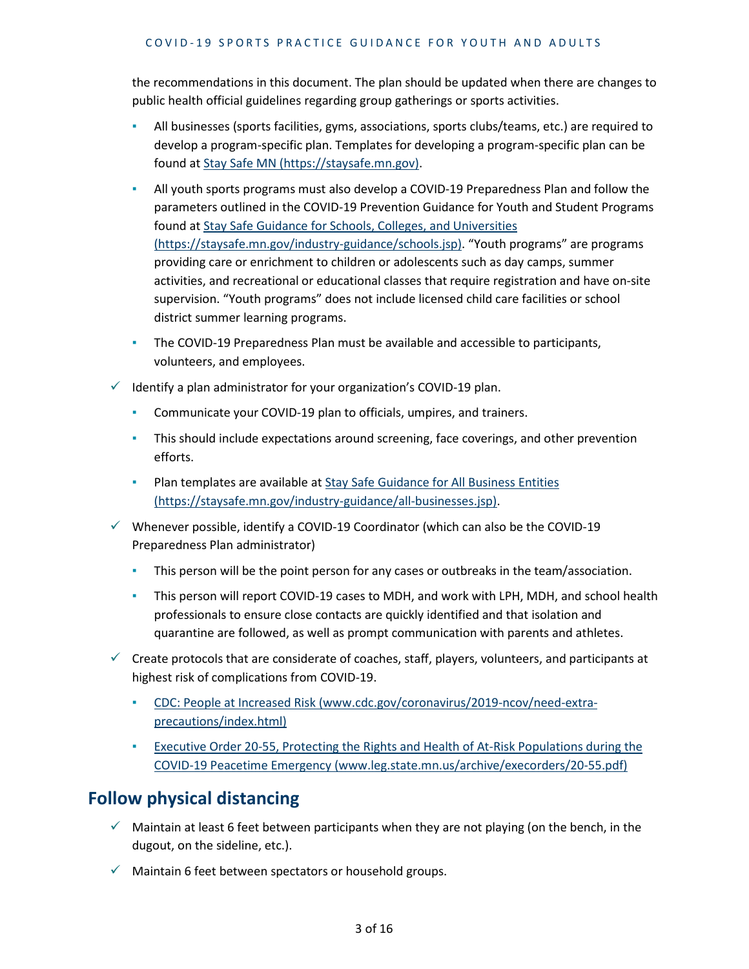the recommendations in this document. The plan should be updated when there are changes to public health official guidelines regarding group gatherings or sports activities.

- All businesses (sports facilities, gyms, associations, sports clubs/teams, etc.) are required to develop a program-specific plan. Templates for developing a program-specific plan can be found at [Stay Safe MN \(https://staysafe.mn.gov\).](https://staysafe.mn.gov/)
- **EXECT** All youth sports programs must also develop a COVID-19 Preparedness Plan and follow the parameters outlined in the COVID-19 Prevention Guidance for Youth and Student Programs found at [Stay Safe Guidance for Schools, Colleges, and Universities](https://staysafe.mn.gov/industry-guidance/schools.jsp) [\(https://staysafe.mn.gov/industry-guidance/schools.jsp\).](https://staysafe.mn.gov/industry-guidance/schools.jsp) "Youth programs" are programs providing care or enrichment to children or adolescents such as day camps, summer activities, and recreational or educational classes that require registration and have on-site supervision. "Youth programs" does not include licensed child care facilities or school district summer learning programs.
- The COVID-19 Preparedness Plan must be available and accessible to participants, volunteers, and employees.
- $\checkmark$  Identify a plan administrator for your organization's COVID-19 plan.
	- Communicate your COVID-19 plan to officials, umpires, and trainers.
	- **•** This should include expectations around screening, face coverings, and other prevention efforts.
	- **Plan templates are available at Stay Safe Guidance for All Business Entities** [\(https://staysafe.mn.gov/industry-guidance/all-businesses.jsp\).](https://staysafe.mn.gov/industry-guidance/all-businesses.jsp)
- $\checkmark$  Whenever possible, identify a COVID-19 Coordinator (which can also be the COVID-19 Preparedness Plan administrator)
	- **•** This person will be the point person for any cases or outbreaks in the team/association.
	- **•** This person will report COVID-19 cases to MDH, and work with LPH, MDH, and school health professionals to ensure close contacts are quickly identified and that isolation and quarantine are followed, as well as prompt communication with parents and athletes.
- $\checkmark$  Create protocols that are considerate of coaches, staff, players, volunteers, and participants at highest risk of complications from COVID-19.
	- [CDC: People at Increased Risk \(www.cdc.gov/coronavirus/2019-ncov/need-extra](https://www.cdc.gov/coronavirus/2019-ncov/need-extra-precautions/index.html)[precautions/index.html\)](https://www.cdc.gov/coronavirus/2019-ncov/need-extra-precautions/index.html)
	- **Executive Order 20-55, Protecting the Rights and Health of At-Risk Populations during the** [COVID-19 Peacetime Emergency \(www.leg.state.mn.us/archive/execorders/20-55.pdf\)](https://www.leg.state.mn.us/archive/execorders/20-55.pdf)

## **Follow physical distancing**

- $\checkmark$  Maintain at least 6 feet between participants when they are not playing (on the bench, in the dugout, on the sideline, etc.).
- $\checkmark$  Maintain 6 feet between spectators or household groups.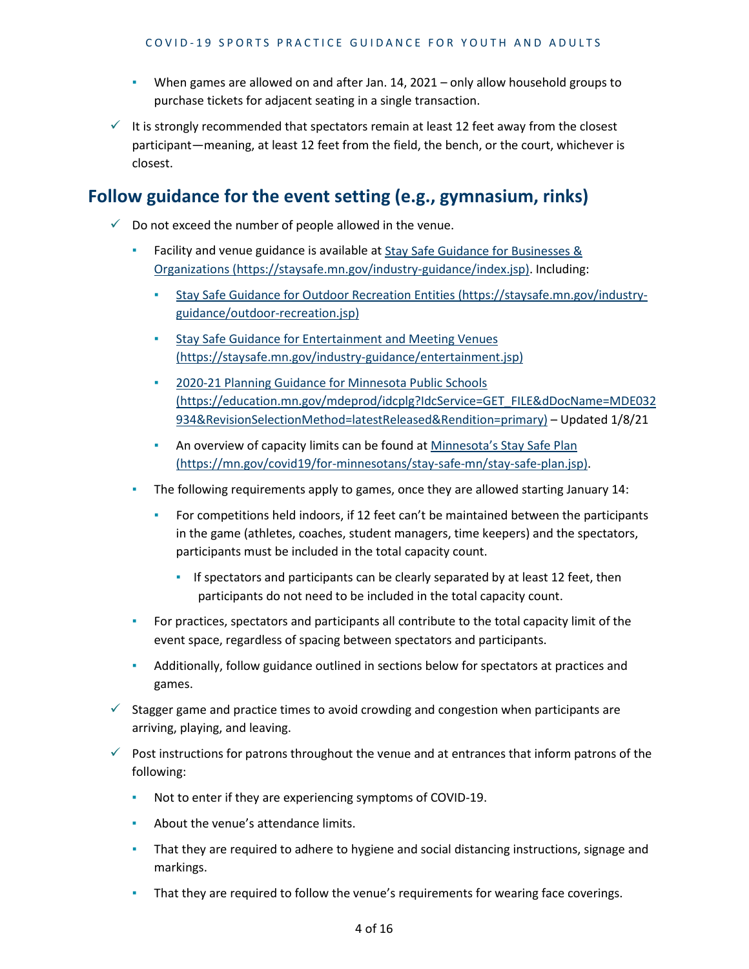- When games are allowed on and after Jan. 14, 2021 only allow household groups to purchase tickets for adjacent seating in a single transaction.
- $\checkmark$  It is strongly recommended that spectators remain at least 12 feet away from the closest participant—meaning, at least 12 feet from the field, the bench, or the court, whichever is closest.

## **Follow guidance for the event setting (e.g., gymnasium, rinks)**

- $\checkmark$  Do not exceed the number of people allowed in the venue.
	- Facility and venue guidance is available at Stay Safe Guidance for Businesses & Organizations [\(https://staysafe.mn.gov/industry-guidance/index.jsp\).](https://staysafe.mn.gov/industry-guidance/index.jsp) Including:
		- [Stay Safe Guidance for Outdoor Recreation Entities \(https://staysafe.mn.gov/industry](https://staysafe.mn.gov/industry-guidance/outdoor-recreation.jsp)[guidance/outdoor-recreation.jsp\)](https://staysafe.mn.gov/industry-guidance/outdoor-recreation.jsp)
		- [Stay Safe Guidance for Entertainment and Meeting Venues](https://staysafe.mn.gov/industry-guidance/entertainment.jsp)  [\(https://staysafe.mn.gov/industry-guidance/entertainment.jsp\)](https://staysafe.mn.gov/industry-guidance/entertainment.jsp)
		- [2020-21 Planning Guidance for Minnesota Public Schools](https://education.mn.gov/mdeprod/idcplg?IdcService=GET_FILE&dDocName=MDE032934&RevisionSelectionMethod=latestReleased&Rendition=primary)  [\(https://education.mn.gov/mdeprod/idcplg?IdcService=GET\\_FILE&dDocName=MDE032](https://education.mn.gov/mdeprod/idcplg?IdcService=GET_FILE&dDocName=MDE032934&RevisionSelectionMethod=latestReleased&Rendition=primary) [934&RevisionSelectionMethod=latestReleased&Rendition=primary\)](https://education.mn.gov/mdeprod/idcplg?IdcService=GET_FILE&dDocName=MDE032934&RevisionSelectionMethod=latestReleased&Rendition=primary) – Updated 1/8/21
		- **An overview of capacity limits can be found at Minnesota's Stay Safe Plan** [\(https://mn.gov/covid19/for-minnesotans/stay-safe-mn/stay-safe-plan.jsp\).](https://mn.gov/covid19/for-minnesotans/stay-safe-mn/stay-safe-plan.jsp)
	- The following requirements apply to games, once they are allowed starting January 14:
		- For competitions held indoors, if 12 feet can't be maintained between the participants in the game (athletes, coaches, student managers, time keepers) and the spectators, participants must be included in the total capacity count.
			- If spectators and participants can be clearly separated by at least 12 feet, then participants do not need to be included in the total capacity count.
	- **For practices, spectators and participants all contribute to the total capacity limit of the** event space, regardless of spacing between spectators and participants.
	- Additionally, follow guidance outlined in sections below for spectators at practices and games.
- $\checkmark$  Stagger game and practice times to avoid crowding and congestion when participants are arriving, playing, and leaving.
- $\checkmark$  Post instructions for patrons throughout the venue and at entrances that inform patrons of the following:
	- Not to enter if they are experiencing symptoms of COVID-19.
	- **EXECUTE:** About the venue's attendance limits.
	- **•** That they are required to adhere to hygiene and social distancing instructions, signage and markings.
	- **•** That they are required to follow the venue's requirements for wearing face coverings.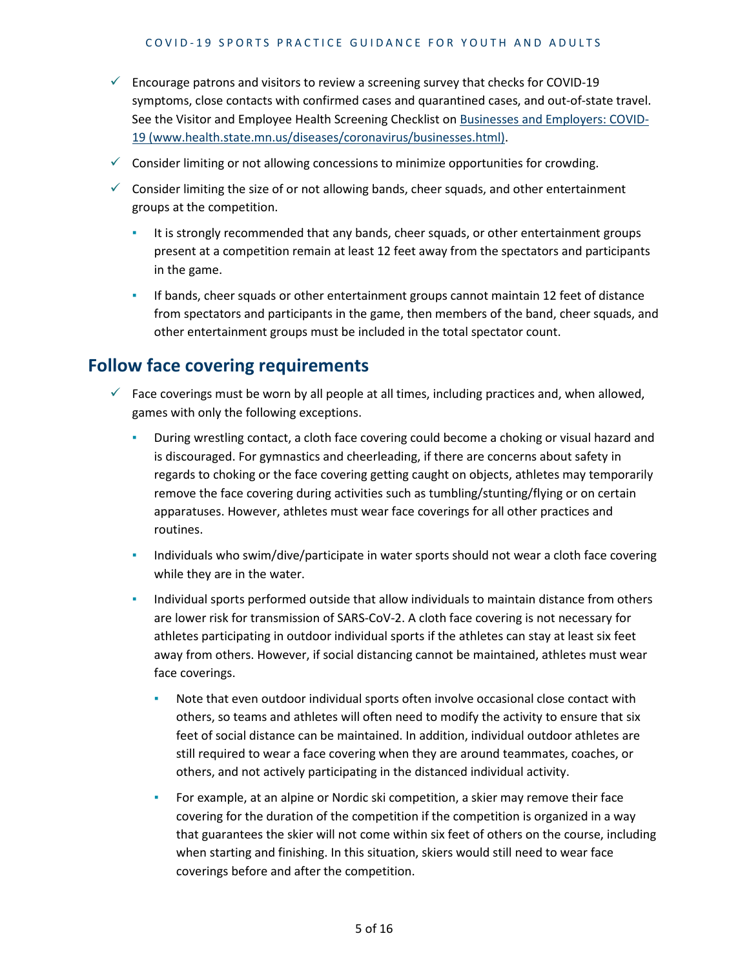- $\checkmark$  Encourage patrons and visitors to review a screening survey that checks for COVID-19 symptoms, close contacts with confirmed cases and quarantined cases, and out-of-state travel. See the Visitor and Employee Health Screening Checklist on [Businesses and Employers: COVID-](https://www.health.state.mn.us/diseases/coronavirus/businesses.html)[19 \(www.health.state.mn.us/diseases/coronavirus/businesses.html\).](https://www.health.state.mn.us/diseases/coronavirus/businesses.html)
- $\checkmark$  Consider limiting or not allowing concessions to minimize opportunities for crowding.
- $\checkmark$  Consider limiting the size of or not allowing bands, cheer squads, and other entertainment groups at the competition.
	- It is strongly recommended that any bands, cheer squads, or other entertainment groups present at a competition remain at least 12 feet away from the spectators and participants in the game.
	- **·** If bands, cheer squads or other entertainment groups cannot maintain 12 feet of distance from spectators and participants in the game, then members of the band, cheer squads, and other entertainment groups must be included in the total spectator count.

#### **Follow face covering requirements**

- $\checkmark$  Face coverings must be worn by all people at all times, including practices and, when allowed, games with only the following exceptions.
	- During wrestling contact, a cloth face covering could become a choking or visual hazard and is discouraged. For gymnastics and cheerleading, if there are concerns about safety in regards to choking or the face covering getting caught on objects, athletes may temporarily remove the face covering during activities such as tumbling/stunting/flying or on certain apparatuses. However, athletes must wear face coverings for all other practices and routines.
	- Individuals who swim/dive/participate in water sports should not wear a cloth face covering while they are in the water.
	- **•** Individual sports performed outside that allow individuals to maintain distance from others are lower risk for transmission of SARS-CoV-2. A cloth face covering is not necessary for athletes participating in outdoor individual sports if the athletes can stay at least six feet away from others. However, if social distancing cannot be maintained, athletes must wear face coverings.
		- Note that even outdoor individual sports often involve occasional close contact with others, so teams and athletes will often need to modify the activity to ensure that six feet of social distance can be maintained. In addition, individual outdoor athletes are still required to wear a face covering when they are around teammates, coaches, or others, and not actively participating in the distanced individual activity.
		- For example, at an alpine or Nordic ski competition, a skier may remove their face covering for the duration of the competition if the competition is organized in a way that guarantees the skier will not come within six feet of others on the course, including when starting and finishing. In this situation, skiers would still need to wear face coverings before and after the competition.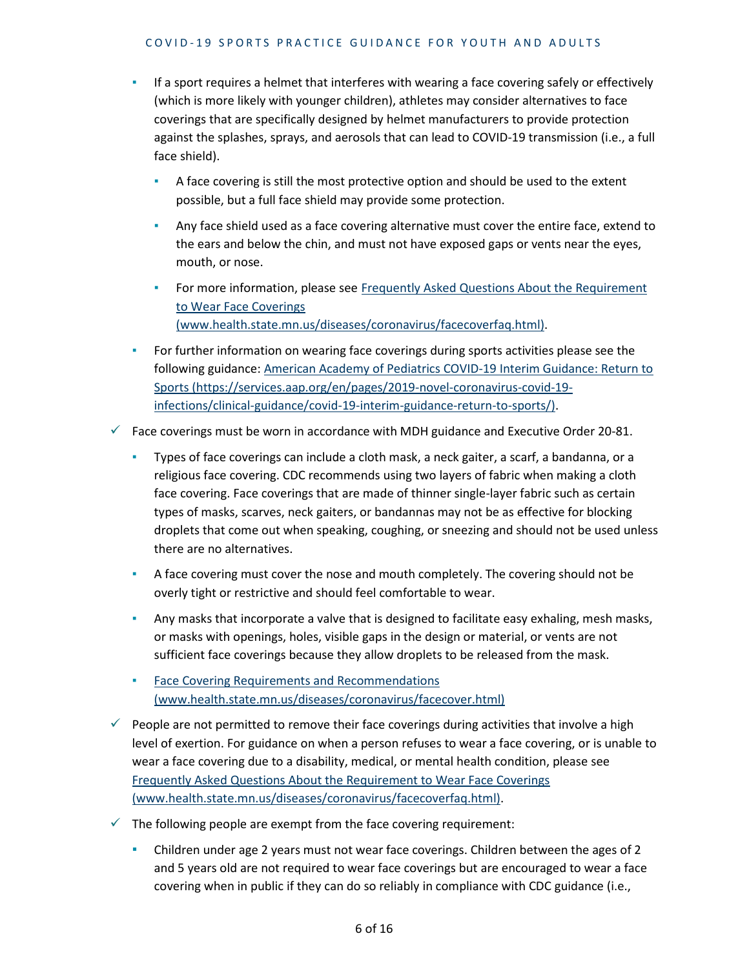- **•** If a sport requires a helmet that interferes with wearing a face covering safely or effectively (which is more likely with younger children), athletes may consider alternatives to face coverings that are specifically designed by helmet manufacturers to provide protection against the splashes, sprays, and aerosols that can lead to COVID-19 transmission (i.e., a full face shield).
	- A face covering is still the most protective option and should be used to the extent possible, but a full face shield may provide some protection.
	- **Any face shield used as a face covering alternative must cover the entire face, extend to** the ears and below the chin, and must not have exposed gaps or vents near the eyes, mouth, or nose.
	- **For more information, please see Frequently Asked Questions About the Requirement** [to Wear Face Coverings](https://www.health.state.mn.us/diseases/coronavirus/facecoverfaq.html)  [\(www.health.state.mn.us/diseases/coronavirus/facecoverfaq.html\).](https://www.health.state.mn.us/diseases/coronavirus/facecoverfaq.html)
- **For further information on wearing face coverings during sports activities please see the** following guidance[: American Academy of Pediatrics COVID-19 Interim Guidance: Return to](https://services.aap.org/en/pages/2019-novel-coronavirus-covid-19-infections/clinical-guidance/covid-19-interim-guidance-return-to-sports/)  Sports [\(https://services.aap.org/en/pages/2019-novel-coronavirus-covid-19](https://services.aap.org/en/pages/2019-novel-coronavirus-covid-19-infections/clinical-guidance/covid-19-interim-guidance-return-to-sports/) [infections/clinical-guidance/covid-19-interim-guidance-return-to-sports/\).](https://services.aap.org/en/pages/2019-novel-coronavirus-covid-19-infections/clinical-guidance/covid-19-interim-guidance-return-to-sports/)

 $\checkmark$  Face coverings must be worn in accordance with MDH guidance and Executive Order 20-81.

- Types of face coverings can include a cloth mask, a neck gaiter, a scarf, a bandanna, or a religious face covering. CDC recommends using two layers of fabric when making a cloth face covering. Face coverings that are made of thinner single-layer fabric such as certain types of masks, scarves, neck gaiters, or bandannas may not be as effective for blocking droplets that come out when speaking, coughing, or sneezing and should not be used unless there are no alternatives.
- **EXECO** A face covering must cover the nose and mouth completely. The covering should not be overly tight or restrictive and should feel comfortable to wear.
- **•** Any masks that incorporate a valve that is designed to facilitate easy exhaling, mesh masks, or masks with openings, holes, visible gaps in the design or material, or vents are not sufficient face coverings because they allow droplets to be released from the mask.
- **Face Covering Requirements and Recommendations** [\(www.health.state.mn.us/diseases/coronavirus/facecover.html\)](https://www.health.state.mn.us/diseases/coronavirus/facecover.html)
- $\checkmark$  People are not permitted to remove their face coverings during activities that involve a high level of exertion. For guidance on when a person refuses to wear a face covering, or is unable to wear a face covering due to a disability, medical, or mental health condition, please see [Frequently Asked Questions About the Requirement to Wear Face Coverings](https://www.health.state.mn.us/diseases/coronavirus/facecoverfaq.html)  [\(www.health.state.mn.us/diseases/coronavirus/facecoverfaq.html\).](https://www.health.state.mn.us/diseases/coronavirus/facecoverfaq.html)
- $\checkmark$  The following people are exempt from the face covering requirement:
	- **EXECT** Children under age 2 years must not wear face coverings. Children between the ages of 2 and 5 years old are not required to wear face coverings but are encouraged to wear a face covering when in public if they can do so reliably in compliance with CDC guidance (i.e.,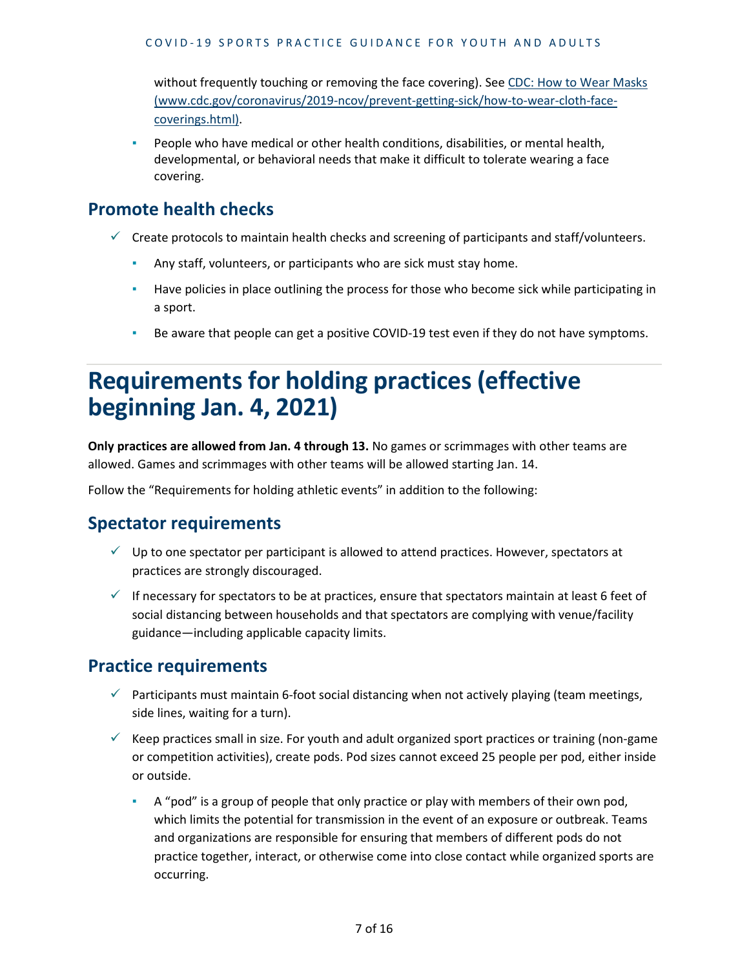without frequently touching or removing the face covering). See [CDC: How to Wear Masks](https://www.cdc.gov/coronavirus/2019-ncov/prevent-getting-sick/how-to-wear-cloth-face-coverings.html)  [\(www.cdc.gov/coronavirus/2019-ncov/prevent-getting-sick/how-to-wear-cloth-face](https://www.cdc.gov/coronavirus/2019-ncov/prevent-getting-sick/how-to-wear-cloth-face-coverings.html)[coverings.html\).](https://www.cdc.gov/coronavirus/2019-ncov/prevent-getting-sick/how-to-wear-cloth-face-coverings.html)

People who have medical or other health conditions, disabilities, or mental health, developmental, or behavioral needs that make it difficult to tolerate wearing a face covering.

#### **Promote health checks**

- $\checkmark$  Create protocols to maintain health checks and screening of participants and staff/volunteers.
	- Any staff, volunteers, or participants who are sick must stay home.
	- **EXECT** Have policies in place outlining the process for those who become sick while participating in a sport.
	- **EXE** Be aware that people can get a positive COVID-19 test even if they do not have symptoms.

## **Requirements for holding practices (effective beginning Jan. 4, 2021)**

**Only practices are allowed from Jan. 4 through 13.** No games or scrimmages with other teams are allowed. Games and scrimmages with other teams will be allowed starting Jan. 14.

Follow the "Requirements for holding athletic events" in addition to the following:

## **Spectator requirements**

- $\checkmark$  Up to one spectator per participant is allowed to attend practices. However, spectators at practices are strongly discouraged.
- $\checkmark$  If necessary for spectators to be at practices, ensure that spectators maintain at least 6 feet of social distancing between households and that spectators are complying with venue/facility guidance—including applicable capacity limits.

#### **Practice requirements**

- $\checkmark$  Participants must maintain 6-foot social distancing when not actively playing (team meetings, side lines, waiting for a turn).
- $\checkmark$  Keep practices small in size. For youth and adult organized sport practices or training (non-game or competition activities), create pods. Pod sizes cannot exceed 25 people per pod, either inside or outside.
	- **EXECT** A "pod" is a group of people that only practice or play with members of their own pod, which limits the potential for transmission in the event of an exposure or outbreak. Teams and organizations are responsible for ensuring that members of different pods do not practice together, interact, or otherwise come into close contact while organized sports are occurring.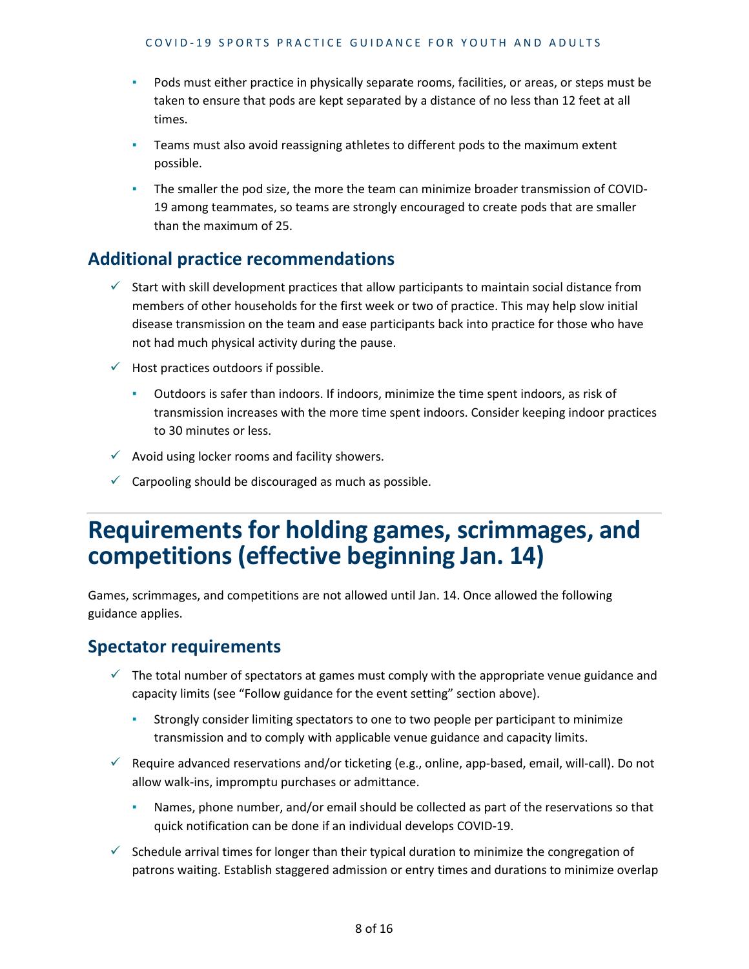- Pods must either practice in physically separate rooms, facilities, or areas, or steps must be taken to ensure that pods are kept separated by a distance of no less than 12 feet at all times.
- I Teams must also avoid reassigning athletes to different pods to the maximum extent possible.
- **•** The smaller the pod size, the more the team can minimize broader transmission of COVID-19 among teammates, so teams are strongly encouraged to create pods that are smaller than the maximum of 25.

#### **Additional practice recommendations**

- $\checkmark$  Start with skill development practices that allow participants to maintain social distance from members of other households for the first week or two of practice. This may help slow initial disease transmission on the team and ease participants back into practice for those who have not had much physical activity during the pause.
- $\checkmark$  Host practices outdoors if possible.
	- Outdoors is safer than indoors. If indoors, minimize the time spent indoors, as risk of transmission increases with the more time spent indoors. Consider keeping indoor practices to 30 minutes or less.
- $\checkmark$  Avoid using locker rooms and facility showers.
- $\checkmark$  Carpooling should be discouraged as much as possible.

## **Requirements for holding games, scrimmages, and competitions (effective beginning Jan. 14)**

Games, scrimmages, and competitions are not allowed until Jan. 14. Once allowed the following guidance applies.

#### **Spectator requirements**

- $\checkmark$  The total number of spectators at games must comply with the appropriate venue guidance and capacity limits (see "Follow guidance for the event setting" section above).
	- **•** Strongly consider limiting spectators to one to two people per participant to minimize transmission and to comply with applicable venue guidance and capacity limits.
- $\checkmark$  Require advanced reservations and/or ticketing (e.g., online, app-based, email, will-call). Do not allow walk-ins, impromptu purchases or admittance.
	- Names, phone number, and/or email should be collected as part of the reservations so that quick notification can be done if an individual develops COVID-19.
- $\checkmark$  Schedule arrival times for longer than their typical duration to minimize the congregation of patrons waiting. Establish staggered admission or entry times and durations to minimize overlap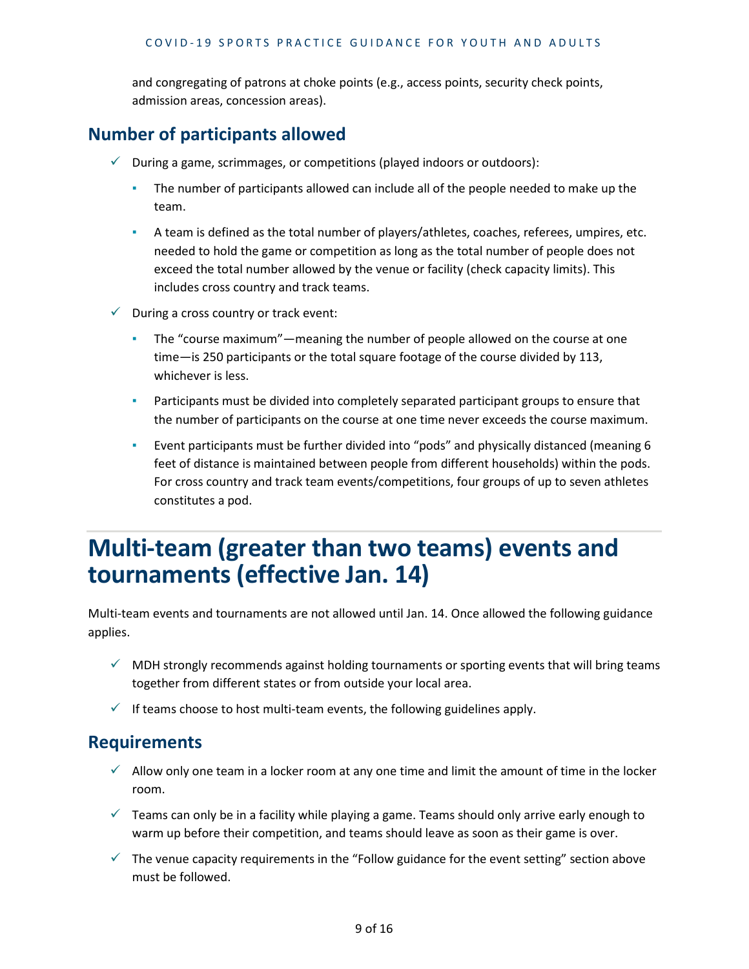and congregating of patrons at choke points (e.g., access points, security check points, admission areas, concession areas).

#### **Number of participants allowed**

- $\checkmark$  During a game, scrimmages, or competitions (played indoors or outdoors):
	- **•** The number of participants allowed can include all of the people needed to make up the team.
	- A team is defined as the total number of players/athletes, coaches, referees, umpires, etc. needed to hold the game or competition as long as the total number of people does not exceed the total number allowed by the venue or facility (check capacity limits). This includes cross country and track teams.
- $\checkmark$  During a cross country or track event:
	- The "course maximum"—meaning the number of people allowed on the course at one time—is 250 participants or the total square footage of the course divided by 113, whichever is less.
	- **•** Participants must be divided into completely separated participant groups to ensure that the number of participants on the course at one time never exceeds the course maximum.
	- Event participants must be further divided into "pods" and physically distanced (meaning 6 feet of distance is maintained between people from different households) within the pods. For cross country and track team events/competitions, four groups of up to seven athletes constitutes a pod.

## **Multi-team (greater than two teams) events and tournaments (effective Jan. 14)**

Multi-team events and tournaments are not allowed until Jan. 14. Once allowed the following guidance applies.

- $\checkmark$  MDH strongly recommends against holding tournaments or sporting events that will bring teams together from different states or from outside your local area.
- $\checkmark$  If teams choose to host multi-team events, the following guidelines apply.

#### **Requirements**

- $\checkmark$  Allow only one team in a locker room at any one time and limit the amount of time in the locker room.
- $\checkmark$  Teams can only be in a facility while playing a game. Teams should only arrive early enough to warm up before their competition, and teams should leave as soon as their game is over.
- $\checkmark$  The venue capacity requirements in the "Follow guidance for the event setting" section above must be followed.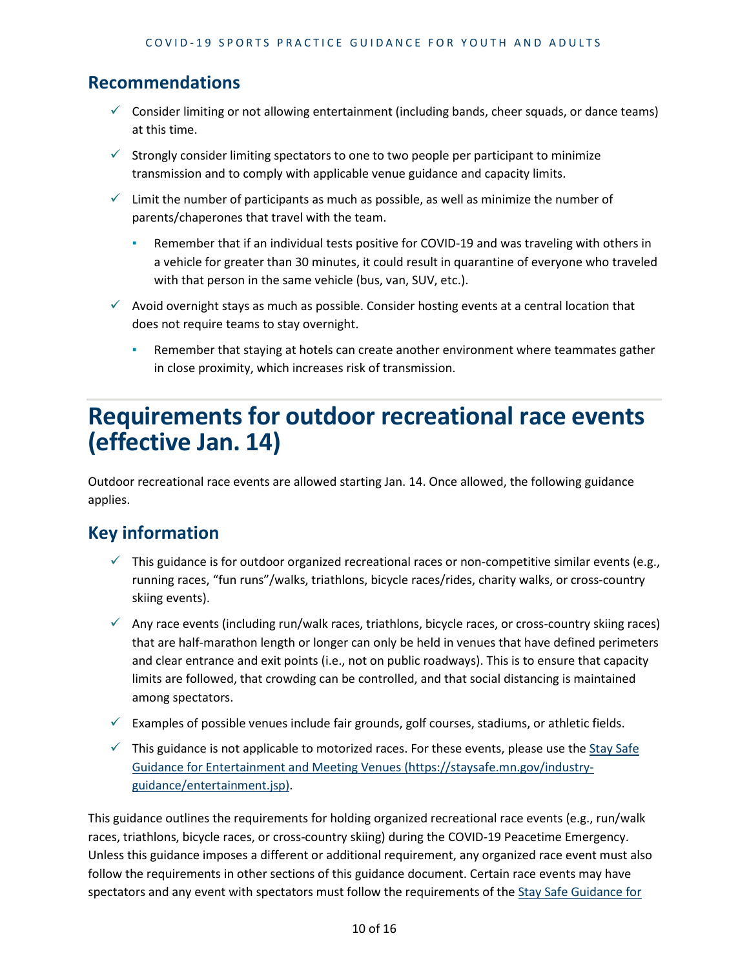#### **Recommendations**

- $\checkmark$  Consider limiting or not allowing entertainment (including bands, cheer squads, or dance teams) at this time.
- $\checkmark$  Strongly consider limiting spectators to one to two people per participant to minimize transmission and to comply with applicable venue guidance and capacity limits.
- $\checkmark$  Limit the number of participants as much as possible, as well as minimize the number of parents/chaperones that travel with the team.
	- **•** Remember that if an individual tests positive for COVID-19 and was traveling with others in a vehicle for greater than 30 minutes, it could result in quarantine of everyone who traveled with that person in the same vehicle (bus, van, SUV, etc.).
- $\checkmark$  Avoid overnight stays as much as possible. Consider hosting events at a central location that does not require teams to stay overnight.
	- **Remember that staying at hotels can create another environment where teammates gather** in close proximity, which increases risk of transmission.

## **Requirements for outdoor recreational race events (effective Jan. 14)**

Outdoor recreational race events are allowed starting Jan. 14. Once allowed, the following guidance applies.

## **Key information**

- $\checkmark$  This guidance is for outdoor organized recreational races or non-competitive similar events (e.g., running races, "fun runs"/walks, triathlons, bicycle races/rides, charity walks, or cross-country skiing events).
- $\checkmark$  Any race events (including run/walk races, triathlons, bicycle races, or cross-country skiing races) that are half-marathon length or longer can only be held in venues that have defined perimeters and clear entrance and exit points (i.e., not on public roadways). This is to ensure that capacity limits are followed, that crowding can be controlled, and that social distancing is maintained among spectators.
- $\checkmark$  Examples of possible venues include fair grounds, golf courses, stadiums, or athletic fields.
- $\checkmark$  This guidance is not applicable to motorized races. For these events, please use the Stay Safe [Guidance for Entertainment and Meeting Venues \(https://staysafe.mn.gov/industry](https://staysafe.mn.gov/industry-guidance/entertainment.jsp)[guidance/entertainment.jsp\).](https://staysafe.mn.gov/industry-guidance/entertainment.jsp)

This guidance outlines the requirements for holding organized recreational race events (e.g., run/walk races, triathlons, bicycle races, or cross-country skiing) during the COVID-19 Peacetime Emergency. Unless this guidance imposes a different or additional requirement, any organized race event must also follow the requirements in other sections of this guidance document. Certain race events may have spectators and any event with spectators must follow the requirements of the Stay Safe Guidance for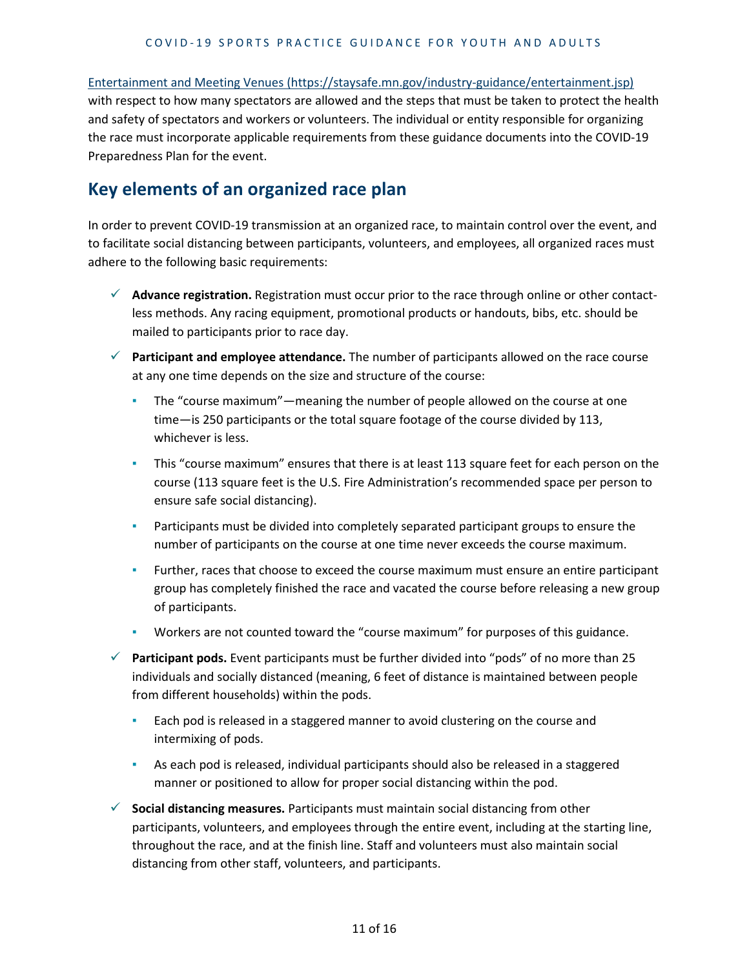[Entertainment and Meeting Venues \(https://staysafe.mn.gov/industry-guidance/entertainment.jsp\)](https://staysafe.mn.gov/industry-guidance/entertainment.jsp) with respect to how many spectators are allowed and the steps that must be taken to protect the health and safety of spectators and workers or volunteers. The individual or entity responsible for organizing the race must incorporate applicable requirements from these guidance documents into the COVID-19 Preparedness Plan for the event.

#### **Key elements of an organized race plan**

In order to prevent COVID-19 transmission at an organized race, to maintain control over the event, and to facilitate social distancing between participants, volunteers, and employees, all organized races must adhere to the following basic requirements:

- **Advance registration.** Registration must occur prior to the race through online or other contactless methods. Any racing equipment, promotional products or handouts, bibs, etc. should be mailed to participants prior to race day.
- **Participant and employee attendance.** The number of participants allowed on the race course at any one time depends on the size and structure of the course:
	- The "course maximum"—meaning the number of people allowed on the course at one time—is 250 participants or the total square footage of the course divided by 113, whichever is less.
	- **•** This "course maximum" ensures that there is at least 113 square feet for each person on the course (113 square feet is the U.S. Fire Administration's recommended space per person to ensure safe social distancing).
	- **•** Participants must be divided into completely separated participant groups to ensure the number of participants on the course at one time never exceeds the course maximum.
	- **EXECT Further, races that choose to exceed the course maximum must ensure an entire participant** group has completely finished the race and vacated the course before releasing a new group of participants.
	- Workers are not counted toward the "course maximum" for purposes of this guidance.
- **Participant pods.** Event participants must be further divided into "pods" of no more than 25 individuals and socially distanced (meaning, 6 feet of distance is maintained between people from different households) within the pods.
	- **Each pod is released in a staggered manner to avoid clustering on the course and** intermixing of pods.
	- As each pod is released, individual participants should also be released in a staggered manner or positioned to allow for proper social distancing within the pod.
- **Social distancing measures.** Participants must maintain social distancing from other participants, volunteers, and employees through the entire event, including at the starting line, throughout the race, and at the finish line. Staff and volunteers must also maintain social distancing from other staff, volunteers, and participants.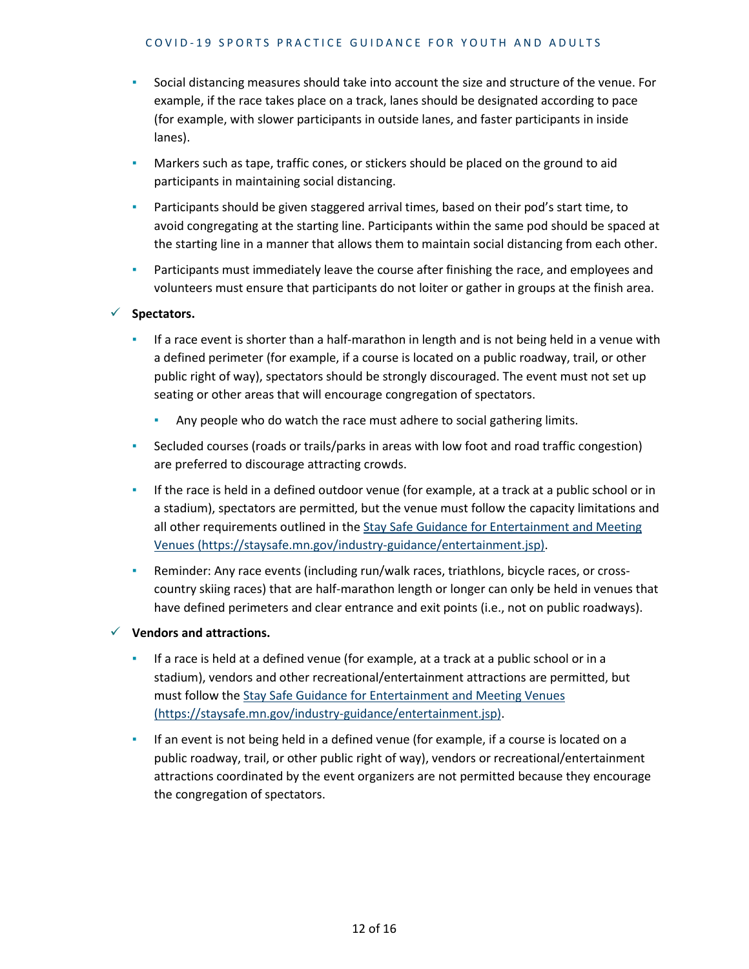- Social distancing measures should take into account the size and structure of the venue. For example, if the race takes place on a track, lanes should be designated according to pace (for example, with slower participants in outside lanes, and faster participants in inside lanes).
- **•** Markers such as tape, traffic cones, or stickers should be placed on the ground to aid participants in maintaining social distancing.
- **EXED** Participants should be given staggered arrival times, based on their pod's start time, to avoid congregating at the starting line. Participants within the same pod should be spaced at the starting line in a manner that allows them to maintain social distancing from each other.
- **•** Participants must immediately leave the course after finishing the race, and employees and volunteers must ensure that participants do not loiter or gather in groups at the finish area.

#### **Spectators.**

- **EXED 15 If a race event is shorter than a half-marathon in length and is not being held in a venue with** a defined perimeter (for example, if a course is located on a public roadway, trail, or other public right of way), spectators should be strongly discouraged. The event must not set up seating or other areas that will encourage congregation of spectators.
	- **Any people who do watch the race must adhere to social gathering limits.**
- Secluded courses (roads or trails/parks in areas with low foot and road traffic congestion) are preferred to discourage attracting crowds.
- **.** If the race is held in a defined outdoor venue (for example, at a track at a public school or in a stadium), spectators are permitted, but the venue must follow the capacity limitations and all other requirements outlined in the [Stay Safe Guidance for Entertainment and Meeting](https://staysafe.mn.gov/industry-guidance/entertainment.jsp)  [Venues \(https://staysafe.mn.gov/industry-guidance/entertainment.jsp\).](https://staysafe.mn.gov/industry-guidance/entertainment.jsp)
- **EXEDENT Any race events (including run/walk races, triathlons, bicycle races, or cross**country skiing races) that are half-marathon length or longer can only be held in venues that have defined perimeters and clear entrance and exit points (i.e., not on public roadways).

**Vendors and attractions.**

- If a race is held at a defined venue (for example, at a track at a public school or in a stadium), vendors and other recreational/entertainment attractions are permitted, but must follow the [Stay Safe Guidance for Entertainment and Meeting Venues](https://staysafe.mn.gov/industry-guidance/entertainment.jsp)  [\(https://staysafe.mn.gov/industry-guidance/entertainment.jsp\).](https://staysafe.mn.gov/industry-guidance/entertainment.jsp)
- **EXECT** If an event is not being held in a defined venue (for example, if a course is located on a public roadway, trail, or other public right of way), vendors or recreational/entertainment attractions coordinated by the event organizers are not permitted because they encourage the congregation of spectators.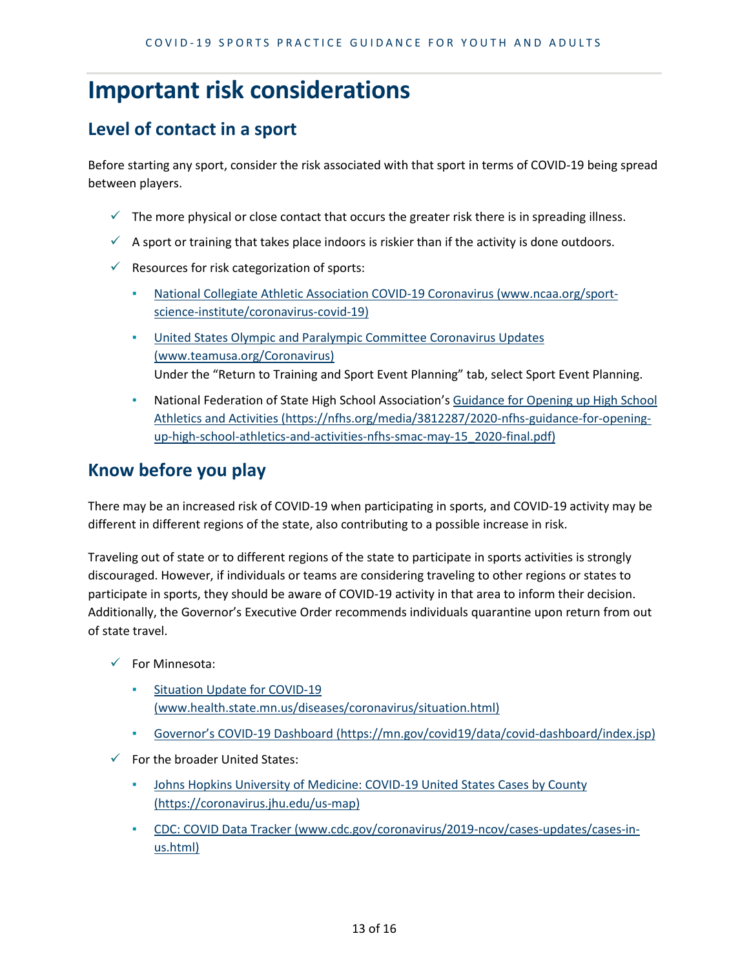## **Important risk considerations**

## **Level of contact in a sport**

Before starting any sport, consider the risk associated with that sport in terms of COVID-19 being spread between players.

- $\checkmark$  The more physical or close contact that occurs the greater risk there is in spreading illness.
- $\checkmark$  A sport or training that takes place indoors is riskier than if the activity is done outdoors.
- $\checkmark$  Resources for risk categorization of sports:
	- [National Collegiate Athletic Association COVID-19 Coronavirus \(www.ncaa.org/sport](https://www.ncaa.org/sport-science-institute/coronavirus-covid-19)[science-institute/coronavirus-covid-19\)](https://www.ncaa.org/sport-science-institute/coronavirus-covid-19)
	- [United States Olympic and Paralympic Committee Coronavirus Updates](https://www.teamusa.org/Coronavirus)  [\(www.teamusa.org/Coronavirus\)](https://www.teamusa.org/Coronavirus) Under the "Return to Training and Sport Event Planning" tab, select Sport Event Planning.
	- National Federation of State High School Association's Guidance for Opening up High School [Athletics and Activities \(https://nfhs.org/media/3812287/2020-nfhs-guidance-for-opening](https://nfhs.org/media/3812287/2020-nfhs-guidance-for-opening-up-high-school-athletics-and-activities-nfhs-smac-may-15_2020-final.pdf)[up-high-school-athletics-and-activities-nfhs-smac-may-15\\_2020-final.pdf\)](https://nfhs.org/media/3812287/2020-nfhs-guidance-for-opening-up-high-school-athletics-and-activities-nfhs-smac-may-15_2020-final.pdf)

## **Know before you play**

There may be an increased risk of COVID-19 when participating in sports, and COVID-19 activity may be different in different regions of the state, also contributing to a possible increase in risk.

Traveling out of state or to different regions of the state to participate in sports activities is strongly discouraged. However, if individuals or teams are considering traveling to other regions or states to participate in sports, they should be aware of COVID-19 activity in that area to inform their decision. Additionally, the Governor's Executive Order recommends individuals quarantine upon return from out of state travel.

- $\checkmark$  For Minnesota:
	- Situation Update for COVID-19 [\(www.health.state.mn.us/diseases/coronavirus/situation.html\)](https://www.health.state.mn.us/diseases/coronavirus/situation.html)
	- [Governor's COVID-19 Dashboard \(https://mn.gov/covid19/data/covid-dashboard/index.jsp\)](https://mn.gov/covid19/data/covid-dashboard/index.jsp)
- $\checkmark$  For the broader United States:
	- Johns Hopkins University of Medicine: COVID-19 United States Cases by County [\(https://coronavirus.jhu.edu/us-map\)](https://coronavirus.jhu.edu/us-map)
	- [CDC: COVID Data Tracker \(www.cdc.gov/coronavirus/2019-ncov/cases-updates/cases-in](https://www.cdc.gov/coronavirus/2019-ncov/cases-updates/cases-in-us.html)[us.html\)](https://www.cdc.gov/coronavirus/2019-ncov/cases-updates/cases-in-us.html)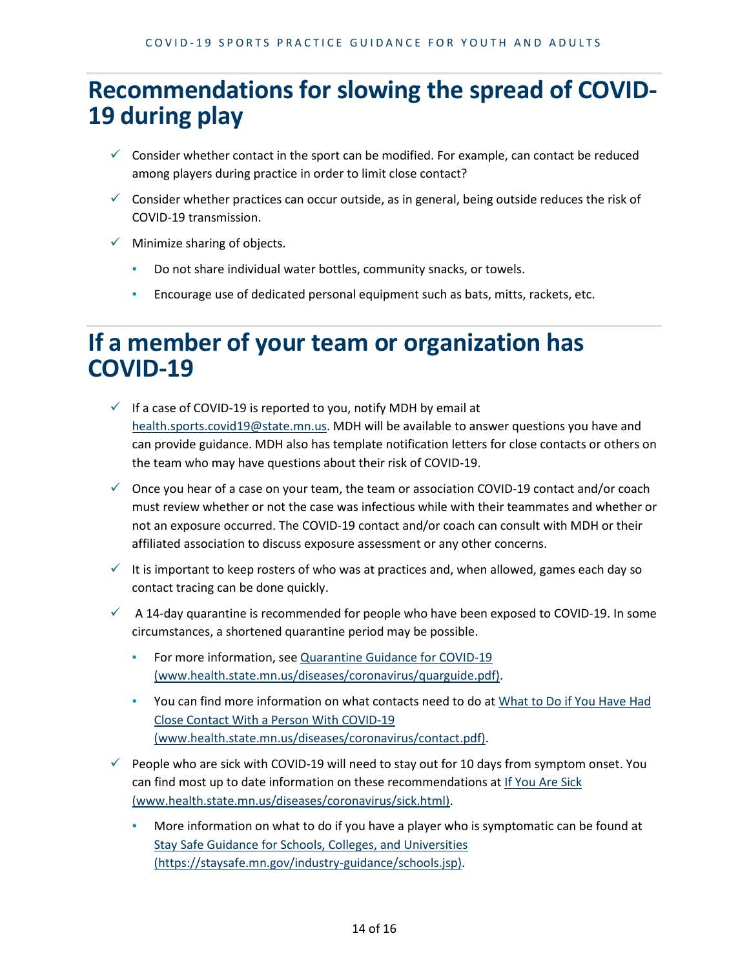# **Recommendations for slowing the spread of COVID- 19 during play**

- $\checkmark$  Consider whether contact in the sport can be modified. For example, can contact be reduced among players during practice in order to limit close contact?
- $\checkmark$  Consider whether practices can occur outside, as in general, being outside reduces the risk of COVID-19 transmission.
- $\checkmark$  Minimize sharing of objects.
	- Do not share individual water bottles, community snacks, or towels.
	- **Encourage use of dedicated personal equipment such as bats, mitts, rackets, etc.**

## **If a member of your team or organization has COVID-19**

- $\checkmark$  If a case of COVID-19 is reported to you, notify MDH by email at [health.sports.covid19@state.mn.us.](mailto:health.sports.covid19@state.mn.us) MDH will be available to answer questions you have and can provide guidance. MDH also has template notification letters for close contacts or others on the team who may have questions about their risk of COVID-19.
- $\checkmark$  Once you hear of a case on your team, the team or association COVID-19 contact and/or coach must review whether or not the case was infectious while with their teammates and whether or not an exposure occurred. The COVID-19 contact and/or coach can consult with MDH or their affiliated association to discuss exposure assessment or any other concerns.
- $\checkmark$  It is important to keep rosters of who was at practices and, when allowed, games each day so contact tracing can be done quickly.
- $\checkmark$  A 14-day quarantine is recommended for people who have been exposed to COVID-19. In some circumstances, a shortened quarantine period may be possible.
	- For more information, se[e Quarantine Guidance for COVID-19](https://www.health.state.mn.us/diseases/coronavirus/quarguide.pdf)  [\(www.health.state.mn.us/diseases/coronavirus/quarguide.pdf\).](https://www.health.state.mn.us/diseases/coronavirus/quarguide.pdf)
	- You can find more information on what contacts need to do a[t What to Do if You Have Had](https://www.health.state.mn.us/diseases/coronavirus/contact.pdf)  [Close Contact With a Person With COVID-19](https://www.health.state.mn.us/diseases/coronavirus/contact.pdf)  [\(www.health.state.mn.us/diseases/coronavirus/contact.pdf\).](https://www.health.state.mn.us/diseases/coronavirus/contact.pdf)
- $\checkmark$  People who are sick with COVID-19 will need to stay out for 10 days from symptom onset. You can find most up to date information on these recommendations a[t If You Are Sick](https://www.health.state.mn.us/diseases/coronavirus/sick.html)  [\(www.health.state.mn.us/diseases/coronavirus/sick.html\).](https://www.health.state.mn.us/diseases/coronavirus/sick.html)
	- More information on what to do if you have a player who is symptomatic can be found at [Stay Safe Guidance for Schools, Colleges, and Universities](https://staysafe.mn.gov/industry-guidance/schools.jsp)  [\(https://staysafe.mn.gov/industry-guidance/schools.jsp\).](https://staysafe.mn.gov/industry-guidance/schools.jsp)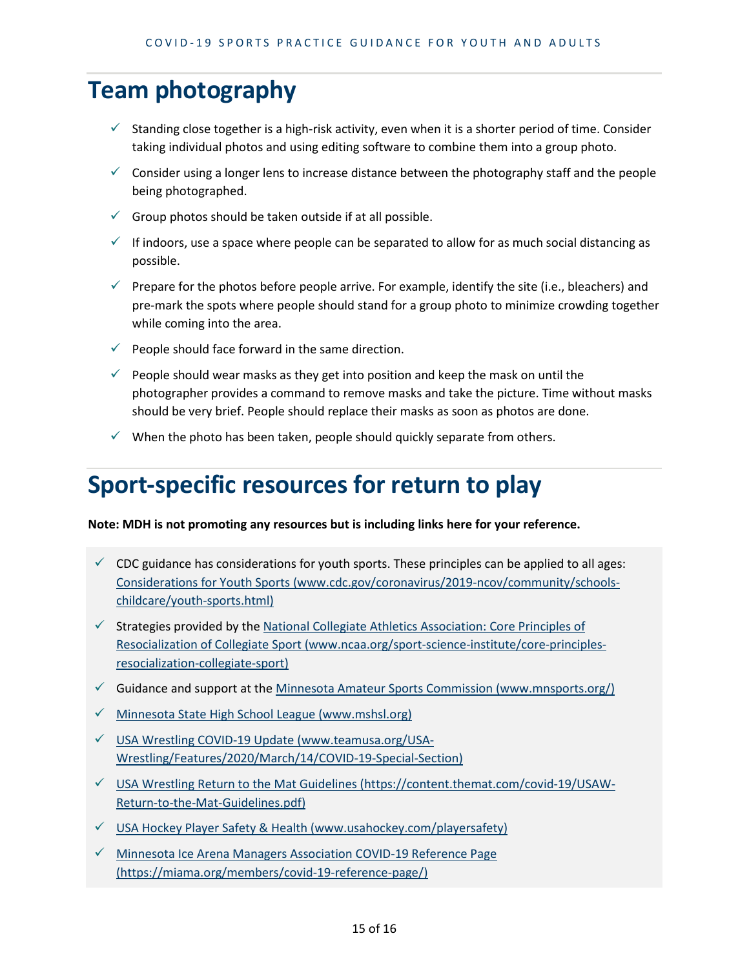## **Team photography**

- $\checkmark$  Standing close together is a high-risk activity, even when it is a shorter period of time. Consider taking individual photos and using editing software to combine them into a group photo.
- $\checkmark$  Consider using a longer lens to increase distance between the photography staff and the people being photographed.
- $\checkmark$  Group photos should be taken outside if at all possible.
- $\checkmark$  If indoors, use a space where people can be separated to allow for as much social distancing as possible.
- $\checkmark$  Prepare for the photos before people arrive. For example, identify the site (i.e., bleachers) and pre-mark the spots where people should stand for a group photo to minimize crowding together while coming into the area.
- $\checkmark$  People should face forward in the same direction.
- $\checkmark$  People should wear masks as they get into position and keep the mask on until the photographer provides a command to remove masks and take the picture. Time without masks should be very brief. People should replace their masks as soon as photos are done.
- $\checkmark$  When the photo has been taken, people should quickly separate from others.

## **Sport-specific resources for return to play**

**Note: MDH is not promoting any resources but is including links here for your reference.**

- $\checkmark$  CDC guidance has considerations for youth sports. These principles can be applied to all ages: [Considerations for Youth Sports \(www.cdc.gov/coronavirus/2019-ncov/community/schools](https://www.cdc.gov/coronavirus/2019-ncov/community/schools-childcare/youth-sports.html)[childcare/youth-sports.html\)](https://www.cdc.gov/coronavirus/2019-ncov/community/schools-childcare/youth-sports.html)
- $\checkmark$  Strategies provided by the National Collegiate Athletics Association: Core Principles of [Resocialization of Collegiate Sport \(www.ncaa.org/sport-science-institute/core-principles](https://www.ncaa.org/sport-science-institute/core-principles-resocialization-collegiate-sport)[resocialization-collegiate-sport\)](https://www.ncaa.org/sport-science-institute/core-principles-resocialization-collegiate-sport)
- $\checkmark$  Guidance and support at the Minnesota Amateur Sports Commission (www.mnsports.org/)
- $\checkmark$  [Minnesota State High School League \(www.mshsl.org\)](https://www.mshsl.org/)
- $\checkmark$  [USA Wrestling COVID-19 Update \(www.teamusa.org/USA-](https://www.teamusa.org/USA-Wrestling/Features/2020/March/14/COVID-19-Special-Section)[Wrestling/Features/2020/March/14/COVID-19-Special-Section\)](https://www.teamusa.org/USA-Wrestling/Features/2020/March/14/COVID-19-Special-Section)
- $\checkmark$  [USA Wrestling Return to the Mat Guidelines \(https://content.themat.com/covid-19/USAW-](https://content.themat.com/covid-19/USAW-Return-to-the-Mat-Guidelines.pdf)[Return-to-the-Mat-Guidelines.pdf\)](https://content.themat.com/covid-19/USAW-Return-to-the-Mat-Guidelines.pdf)
- $\checkmark$  USA Hockey Player Safety & Health (www.usahockey.com/playersafety)
- $\checkmark$  Minnesota Ice Arena Managers Association COVID-19 Reference Page [\(https://miama.org/members/covid-19-reference-page/\)](https://miama.org/members/covid-19-reference-page/)